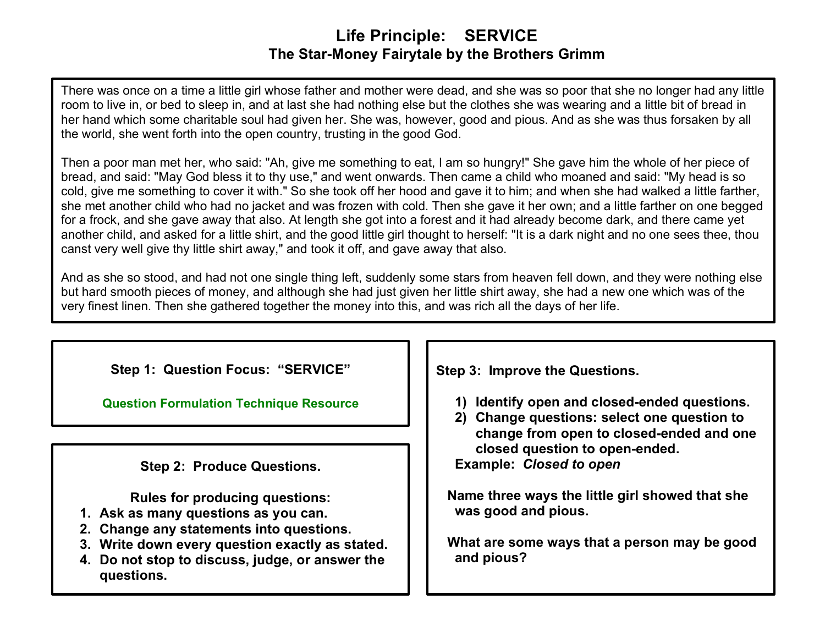## **Life Principle: SERVICE The Star-Money Fairytale by the Brothers Grimm**

There was once on a time a little girl whose father and mother were dead, and she was so poor that she no longer had any little room to live in, or bed to sleep in, and at last she had nothing else but the clothes she was wearing and a little bit of bread in her hand which some charitable soul had given her. She was, however, good and pious. And as she was thus forsaken by all the world, she went forth into the open country, trusting in the good God.

Then a poor man met her, who said: "Ah, give me something to eat, I am so hungry!" She gave him the whole of her piece of bread, and said: "May God bless it to thy use," and went onwards. Then came a child who moaned and said: "My head is so cold, give me something to cover it with." So she took off her hood and gave it to him; and when she had walked a little farther, she met another child who had no jacket and was frozen with cold. Then she gave it her own; and a little farther on one begged for a frock, and she gave away that also. At length she got into a forest and it had already become dark, and there came yet another child, and asked for a little shirt, and the good little girl thought to herself: "It is a dark night and no one sees thee, thou canst very well give thy little shirt away," and took it off, and gave away that also.

And as she so stood, and had not one single thing left, suddenly some stars from heaven fell down, and they were nothing else but hard smooth pieces of money, and although she had just given her little shirt away, she had a new one which was of the very finest linen. Then she gathered together the money into this, and was rich all the days of her life.

|  |  |  | Step 1: Question Focus: "SERVICE" |
|--|--|--|-----------------------------------|
|--|--|--|-----------------------------------|

**[Question Formulation](http://www.greatexpectations.org/question-technique-formulation-resource) Technique Resource** 

**Step 2: Produce Questions.**

**Rules for producing questions:**

- **1. Ask as many questions as you can.**
- **2. Change any statements into questions.**
- **3. Write down every question exactly as stated.**
- **4. Do not stop to discuss, judge, or answer the questions.**

**Step 3: Improve the Questions.**

- **1) Identify open and closed-ended questions.**
- **2) Change questions: select one question to change from open to closed-ended and one closed question to open-ended. Example:** *Closed to open*

 **Name three ways the little girl showed that she was good and pious.**

 **What are some ways that a person may be good and pious?**